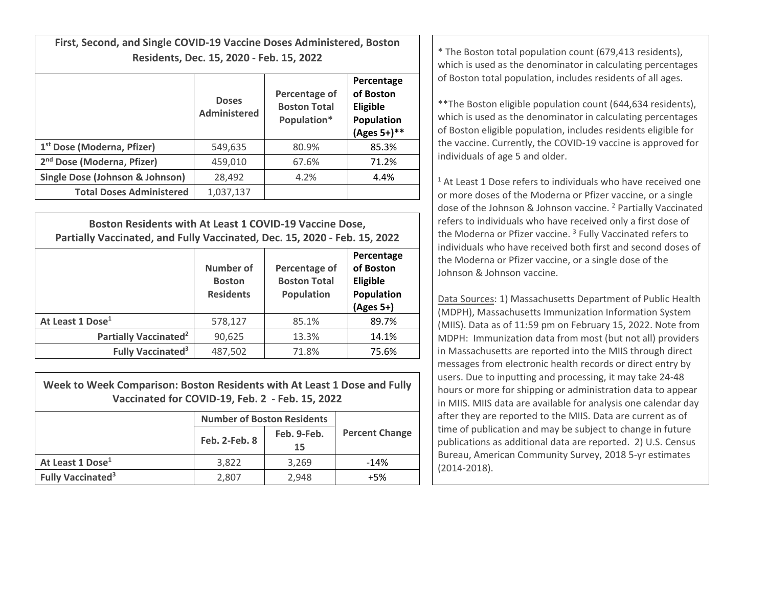**First, Second, and Single COVID‐19 Vaccine Doses Administered, Boston**

|                                        | <b>Doses</b><br>Administered | Percentage of<br><b>Boston Total</b><br>Population* | Percentage<br>of Boston<br>Eligible<br>Population<br>(Ages 5+)** |
|----------------------------------------|------------------------------|-----------------------------------------------------|------------------------------------------------------------------|
| 1 <sup>st</sup> Dose (Moderna, Pfizer) | 549,635                      | 80.9%                                               | 85.3%                                                            |
| 2 <sup>nd</sup> Dose (Moderna, Pfizer) | 459,010                      | 67.6%                                               | 71.2%                                                            |
| Single Dose (Johnson & Johnson)        | 28,492                       | 4.2%                                                | 4.4%                                                             |
| <b>Total Doses Administered</b>        | 1,037,137                    |                                                     |                                                                  |

| Boston Residents with At Least 1 COVID-19 Vaccine Dose,<br>Partially Vaccinated, and Fully Vaccinated, Dec. 15, 2020 - Feb. 15, 2022 |                                                |                                                           |                                                                  |  |  |
|--------------------------------------------------------------------------------------------------------------------------------------|------------------------------------------------|-----------------------------------------------------------|------------------------------------------------------------------|--|--|
|                                                                                                                                      | Number of<br><b>Boston</b><br><b>Residents</b> | Percentage of<br><b>Boston Total</b><br><b>Population</b> | Percentage<br>of Boston<br>Eligible<br>Population<br>$(Ages 5+)$ |  |  |
| At Least 1 Dose <sup>1</sup>                                                                                                         | 578,127                                        | 85.1%                                                     | 89.7%                                                            |  |  |
| Partially Vaccinated <sup>2</sup>                                                                                                    | 90,625                                         | 13.3%                                                     | 14.1%                                                            |  |  |
| <b>Fully Vaccinated<sup>3</sup></b>                                                                                                  | 487,502                                        | 71.8%                                                     | 75.6%                                                            |  |  |

| Week to Week Comparison: Boston Residents with At Least 1 Dose and Fully |
|--------------------------------------------------------------------------|
| Vaccinated for COVID-19, Feb. 2 - Feb. 15, 2022                          |

|                                     | <b>Number of Boston Residents</b> |                   |                       |
|-------------------------------------|-----------------------------------|-------------------|-----------------------|
|                                     | <b>Feb. 2-Feb. 8</b>              | Feb. 9-Feb.<br>15 | <b>Percent Change</b> |
| At Least 1 Dose <sup>1</sup>        | 3.822                             | 3.269             | $-14%$                |
| <b>Fully Vaccinated<sup>3</sup></b> | 2,807                             | 2.948             | +5%                   |

**Residents, Dec. 15, 2020 - Feb. 15, 2022 Conserverse and Conserverse and Conserverse as the denominator in calculating percentages** of Boston total population, includes residents of all ages.

> \*\*The Boston eligible population count (644,634 residents), which is used as the denominator in calculating percentages of Boston eligible population, includes residents eligible for the vaccine. Currently, the COVID‐19 vaccine is approved for individuals of age 5 and older.

 $1$  At Least 1 Dose refers to individuals who have received one or more doses of the Moderna or Pfizer vaccine, or <sup>a</sup> single dose of the Johnson & Johnson vaccine. <sup>2</sup> Partially Vaccinated refers to individuals who have received only <sup>a</sup> first dose of the Moderna or Pfizer vaccine. <sup>3</sup> Fully Vaccinated refers to individuals who have received both first and second doses of the Moderna or Pfizer vaccine, or <sup>a</sup> single dose of the Johnson& Johnson vaccine.

Data Sources: 1) Massachusetts Department of Public Health (MDPH), Massachusetts Immunization Information System (MIIS). Data as of 11:59 pm on February 15, 2022. Note from MDPH: Immunization data from most (but not all) providers in Massachusetts are reported into the MIIS through direct messages from electronic health records or direct entry by users. Due to inputting and processing, it may take 24‐48 hours or more for shipping or administration data to appear in MIIS. MIIS data are available for analysis one calendar day after they are reported to the MIIS. Data are current as of time of publication and may be subject to change in future publications as additional data are reported. 2) U.S. Census Bureau, American Community Survey, 2018 5‐yr estimates (2014‐2018).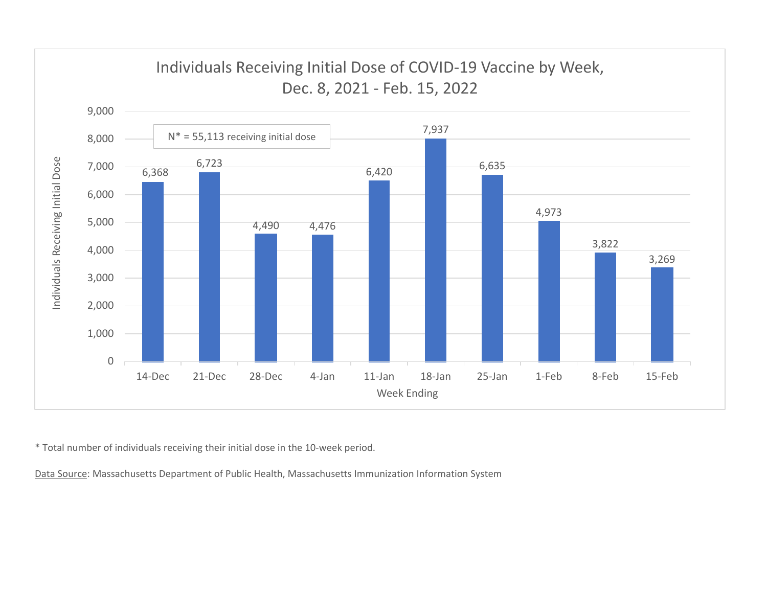

\* Total number of individuals receiving their initial dose in the 10‐week period.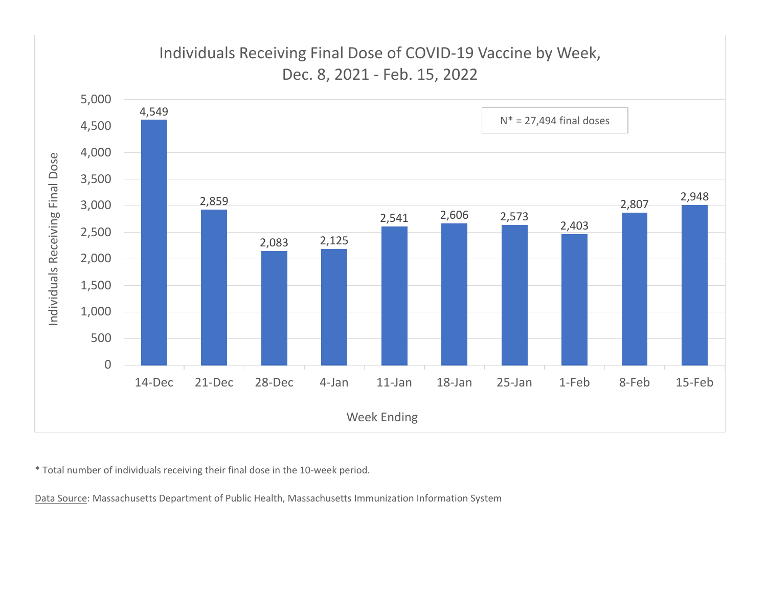

\* Total number of individuals receiving their final dose in the 10‐week period.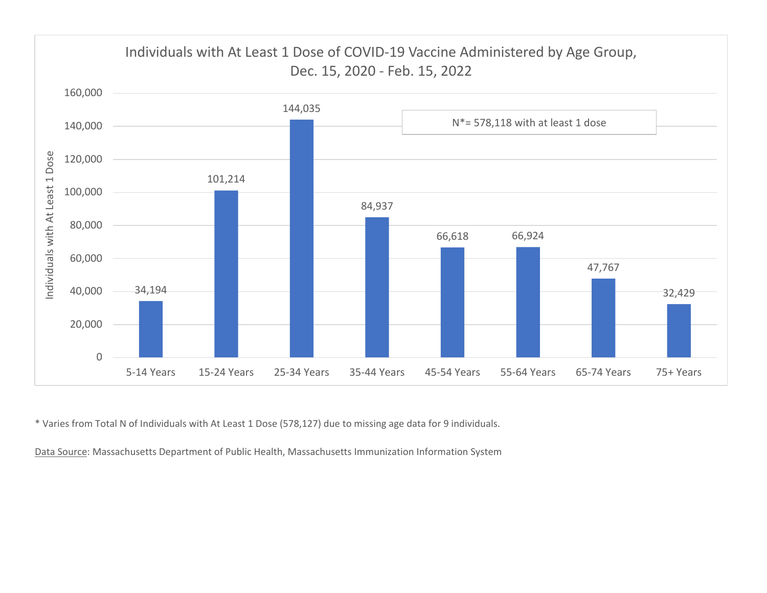

\* Varies from Total N of Individuals with At Least 1 Dose (578,127) due to missing age data for 9 individuals.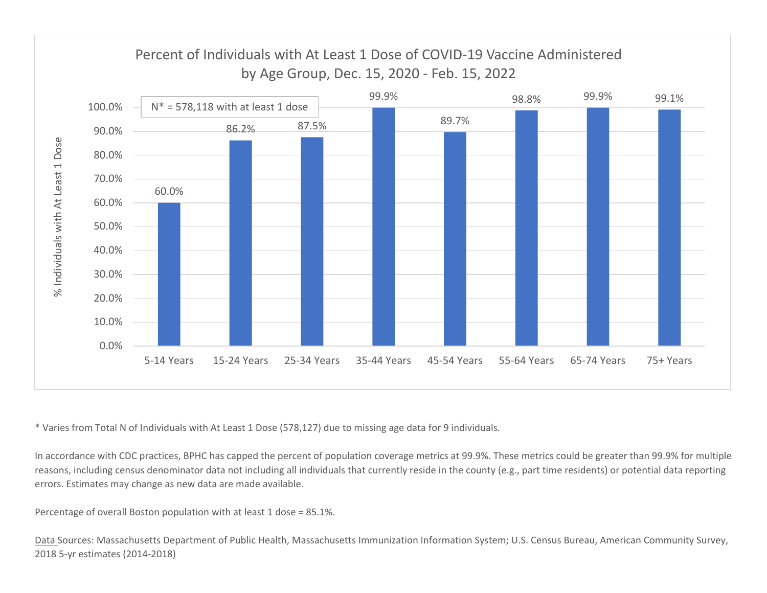

\* Varies from Total N of Individuals with At Least 1 Dose (578,127) due to missing age data for 9 individuals.

In accordance with CDC practices, BPHC has capped the percent of population coverage metrics at 99.9%. These metrics could be greater than 99.9% for multiple reasons, including census denominator data not including all individuals that currently reside in the county (e.g., part time residents) or potential data reporting errors. Estimates may change as new data are made available.

Percentage of overall Boston population with at least 1 dose <sup>=</sup> 85.1%.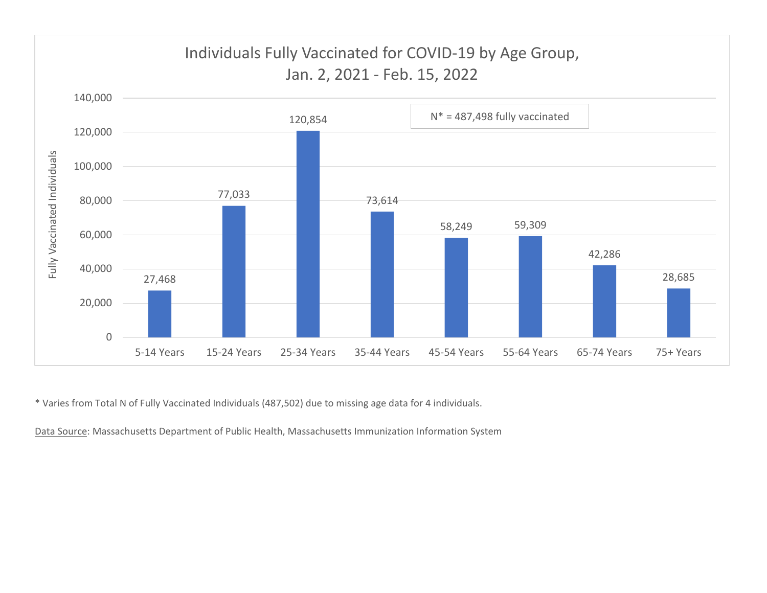

\* Varies from Total N of Fully Vaccinated Individuals (487,502) due to missing age data for 4 individuals.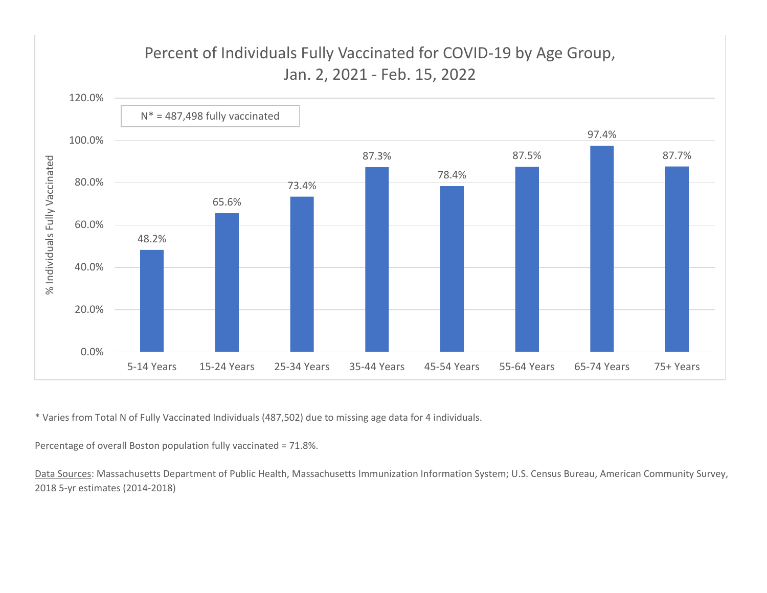

\* Varies from Total N of Fully Vaccinated Individuals (487,502) due to missing age data for 4 individuals.

Percentage of overall Boston population fully vaccinated <sup>=</sup> 71.8%.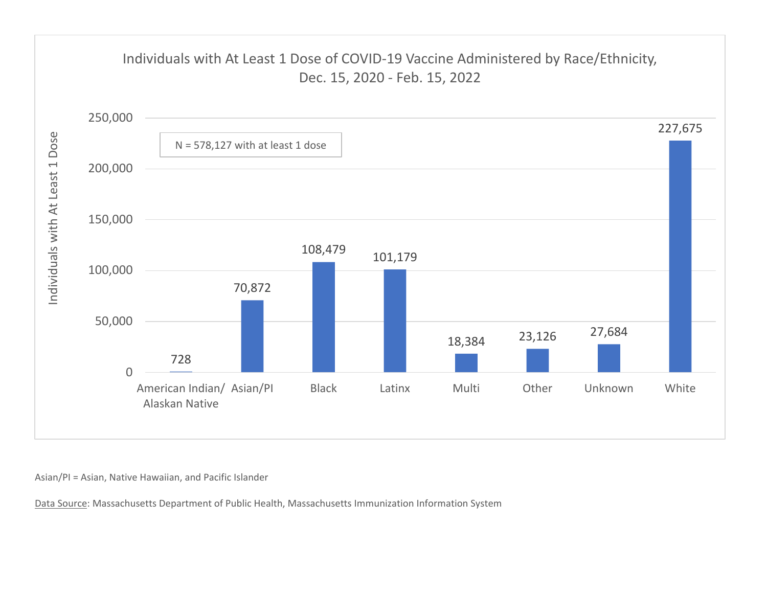

Asian/PI <sup>=</sup> Asian, Native Hawaiian, and Pacific Islander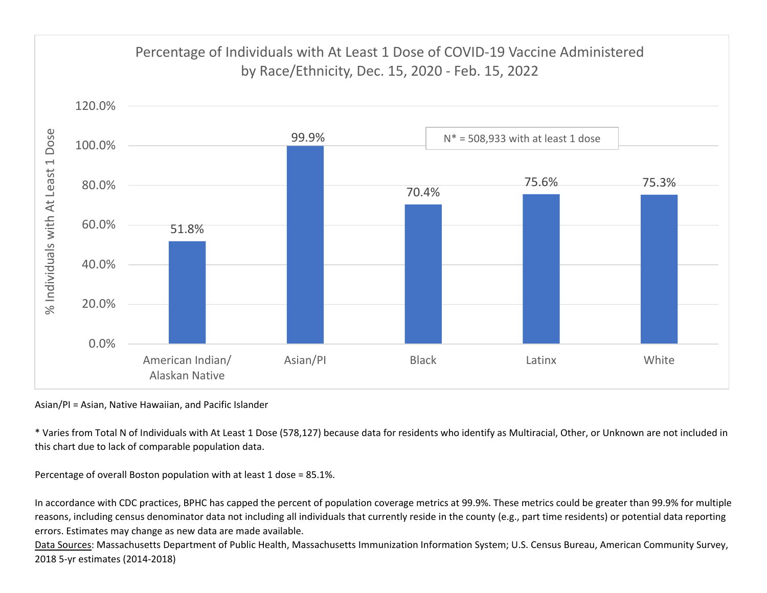

Asian/PI <sup>=</sup> Asian, Native Hawaiian, and Pacific Islander

\* Varies from Total N of Individuals with At Least 1 Dose (578,127) because data for residents who identify as Multiracial, Other, or Unknown are not included in this chart due to lack of comparable population data.

Percentage of overall Boston population with at least 1 dose <sup>=</sup> 85.1%.

In accordance with CDC practices, BPHC has capped the percent of population coverage metrics at 99.9%. These metrics could be greater than 99.9% for multiple reasons, including census denominator data not including all individuals that currently reside in the county (e.g., part time residents) or potential data reporting errors. Estimates may change as new data are made available.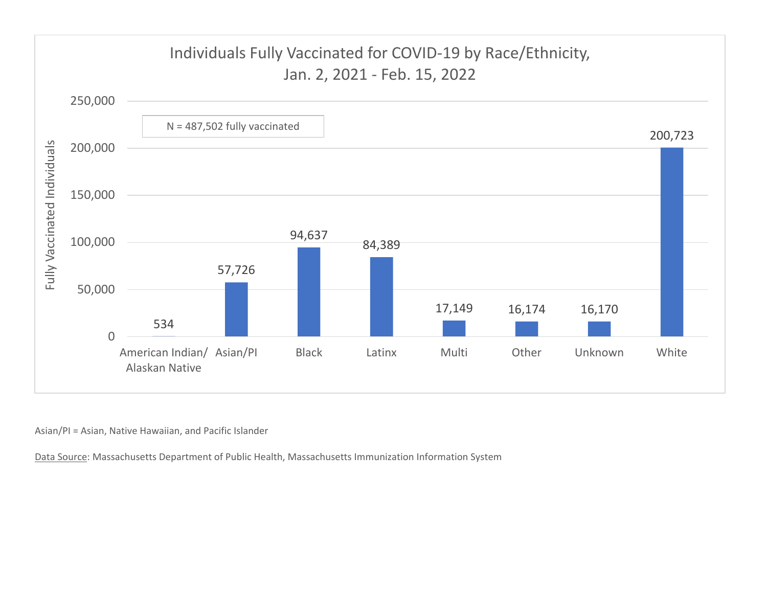

Asian/PI <sup>=</sup> Asian, Native Hawaiian, and Pacific Islander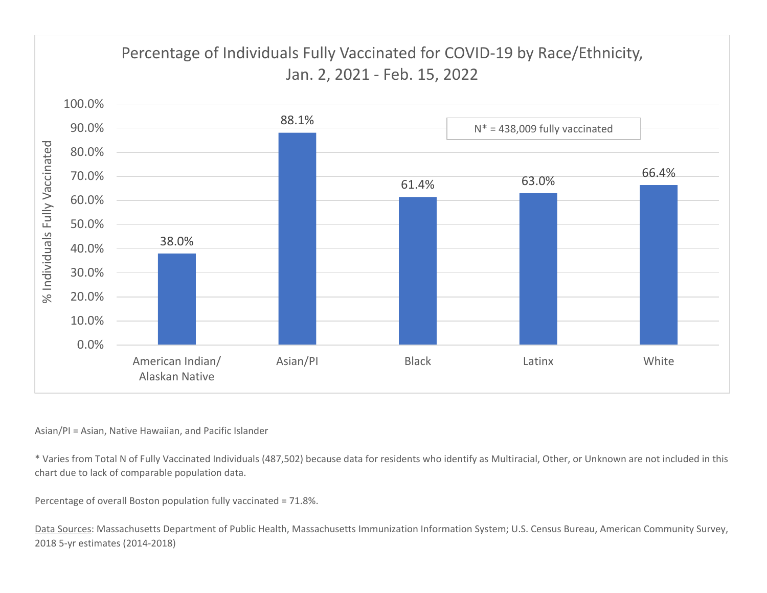

Asian/PI <sup>=</sup> Asian, Native Hawaiian, and Pacific Islander

\* Varies from Total N of Fully Vaccinated Individuals (487,502) because data for residents who identify as Multiracial, Other, or Unknown are not included in this chart due to lack of comparable population data.

Percentage of overall Boston population fully vaccinated <sup>=</sup> 71.8%.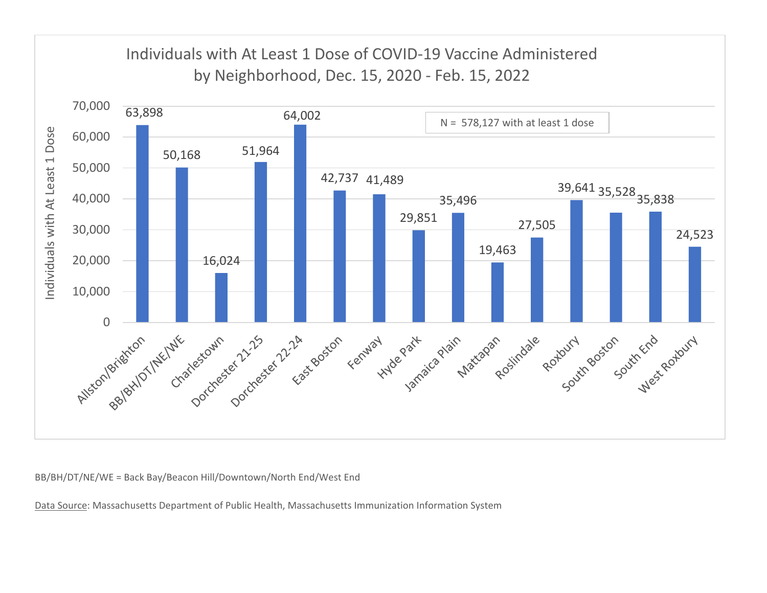

BB/BH/DT/NE/WE <sup>=</sup> Back Bay/Beacon Hill/Downtown/North End/West End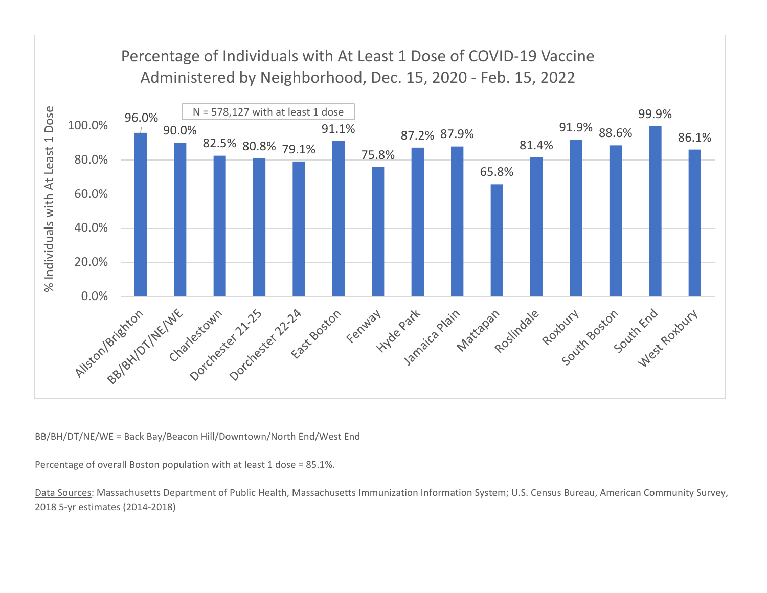

BB/BH/DT/NE/WE <sup>=</sup> Back Bay/Beacon Hill/Downtown/North End/West End

Percentage of overall Boston population with at least 1 dose <sup>=</sup> 85.1%.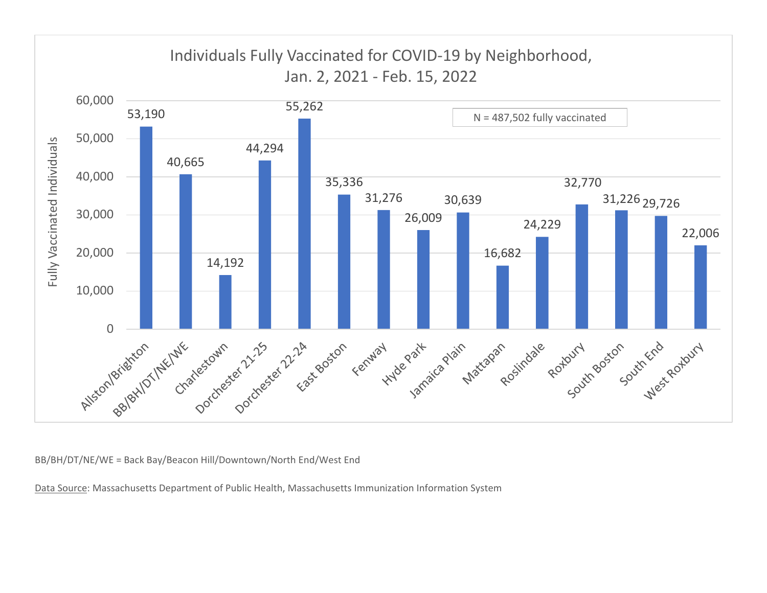

BB/BH/DT/NE/WE <sup>=</sup> Back Bay/Beacon Hill/Downtown/North End/West End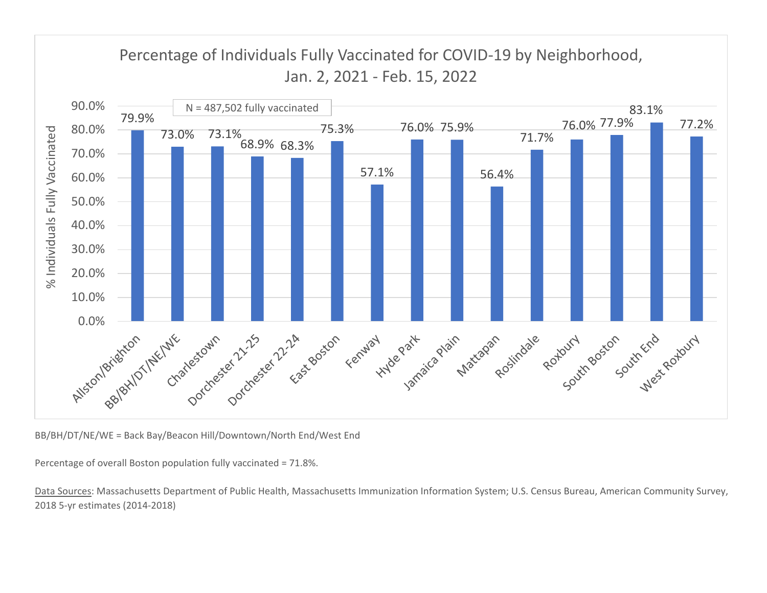

BB/BH/DT/NE/WE <sup>=</sup> Back Bay/Beacon Hill/Downtown/North End/West End

Percentage of overall Boston population fully vaccinated <sup>=</sup> 71.8%.